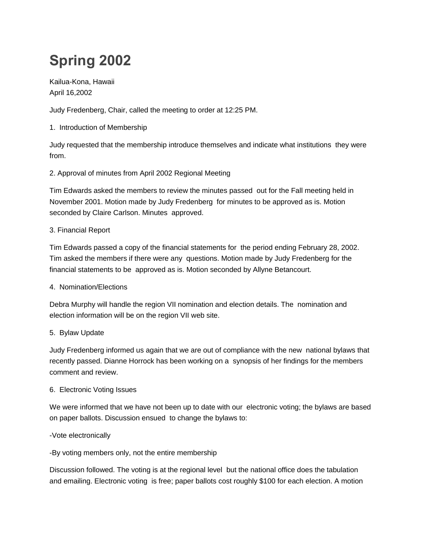# **Spring 2002**

Kailua-Kona, Hawaii April 16,2002

Judy Fredenberg, Chair, called the meeting to order at 12:25 PM.

1. Introduction of Membership

Judy requested that the membership introduce themselves and indicate what institutions they were from.

### 2. Approval of minutes from April 2002 Regional Meeting

Tim Edwards asked the members to review the minutes passed out for the Fall meeting held in November 2001. Motion made by Judy Fredenberg for minutes to be approved as is. Motion seconded by Claire Carlson. Minutes approved.

#### 3. Financial Report

Tim Edwards passed a copy of the financial statements for the period ending February 28, 2002. Tim asked the members if there were any questions. Motion made by Judy Fredenberg for the financial statements to be approved as is. Motion seconded by Allyne Betancourt.

#### 4. Nomination/Elections

Debra Murphy will handle the region VII nomination and election details. The nomination and election information will be on the region VII web site.

## 5. Bylaw Update

Judy Fredenberg informed us again that we are out of compliance with the new national bylaws that recently passed. Dianne Horrock has been working on a synopsis of her findings for the members comment and review.

#### 6. Electronic Voting Issues

We were informed that we have not been up to date with our electronic voting; the bylaws are based on paper ballots. Discussion ensued to change the bylaws to:

#### -Vote electronically

-By voting members only, not the entire membership

Discussion followed. The voting is at the regional level but the national office does the tabulation and emailing. Electronic voting is free; paper ballots cost roughly \$100 for each election. A motion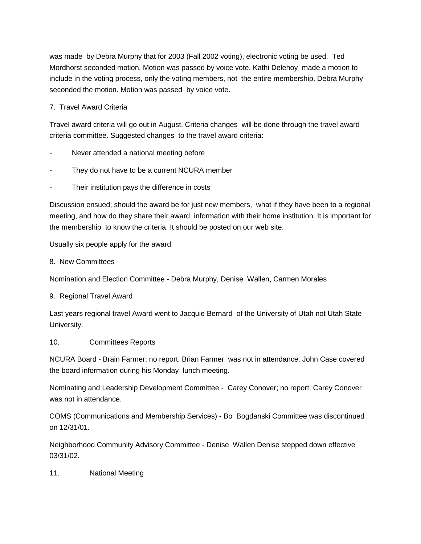was made by Debra Murphy that for 2003 (Fall 2002 voting), electronic voting be used. Ted Mordhorst seconded motion. Motion was passed by voice vote. Kathi Delehoy made a motion to include in the voting process, only the voting members, not the entire membership. Debra Murphy seconded the motion. Motion was passed by voice vote.

## 7. Travel Award Criteria

Travel award criteria will go out in August. Criteria changes will be done through the travel award criteria committee. Suggested changes to the travel award criteria:

- Never attended a national meeting before
- They do not have to be a current NCURA member
- Their institution pays the difference in costs

Discussion ensued; should the award be for just new members, what if they have been to a regional meeting, and how do they share their award information with their home institution. It is important for the membership to know the criteria. It should be posted on our web site.

Usually six people apply for the award.

#### 8. New Committees

Nomination and Election Committee - Debra Murphy, Denise Wallen, Carmen Morales

9. Regional Travel Award

Last years regional travel Award went to Jacquie Bernard of the University of Utah not Utah State University.

#### 10. Committees Reports

NCURA Board - Brain Farmer; no report. Brian Farmer was not in attendance. John Case covered the board information during his Monday lunch meeting.

Nominating and Leadership Development Committee - Carey Conover; no report. Carey Conover was not in attendance.

COMS (Communications and Membership Services) - Bo Bogdanski Committee was discontinued on 12/31/01.

Neighborhood Community Advisory Committee - Denise Wallen Denise stepped down effective 03/31/02.

11. National Meeting